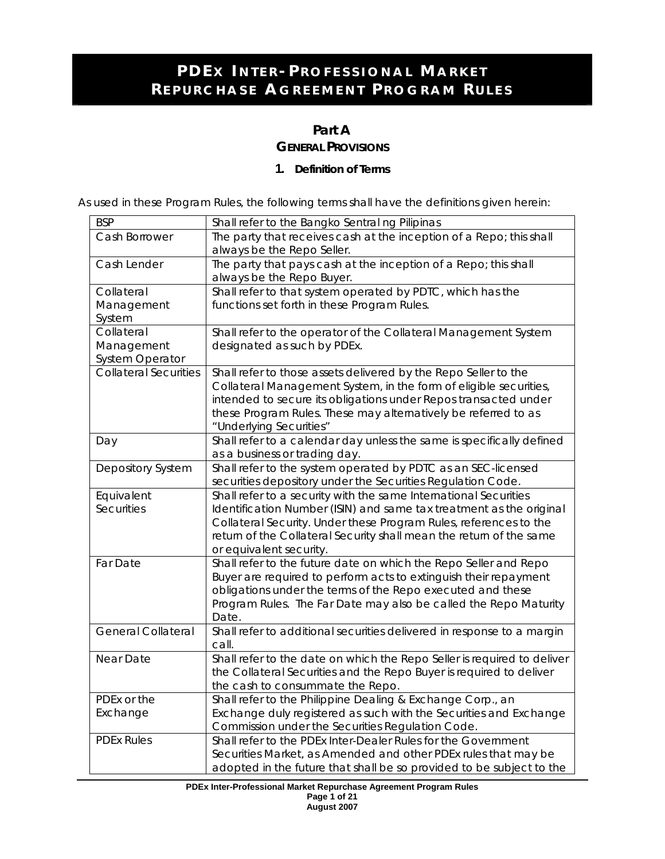## **Part A GENERAL PROVISIONS**

### **1. Definition of Terms**

*As used in these Program Rules, the following terms shall have the definitions given herein:* 

| <b>BSP</b>                   | Shall refer to the Bangko Sentral ng Pilipinas                          |
|------------------------------|-------------------------------------------------------------------------|
| Cash Borrower                | The party that receives cash at the inception of a Repo; this shall     |
|                              | always be the Repo Seller.                                              |
| Cash Lender                  | The party that pays cash at the inception of a Repo; this shall         |
|                              | always be the Repo Buyer.                                               |
| Collateral                   | Shall refer to that system operated by PDTC, which has the              |
| Management                   | functions set forth in these Program Rules.                             |
| System                       |                                                                         |
| Collateral                   | Shall refer to the operator of the Collateral Management System         |
| Management                   | designated as such by PDEx.                                             |
| System Operator              |                                                                         |
| <b>Collateral Securities</b> | Shall refer to those assets delivered by the Repo Seller to the         |
|                              | Collateral Management System, in the form of eligible securities,       |
|                              | intended to secure its obligations under Repos transacted under         |
|                              | these Program Rules. These may alternatively be referred to as          |
|                              | "Underlying Securities"                                                 |
| Day                          | Shall refer to a calendar day unless the same is specifically defined   |
|                              | as a business or trading day.                                           |
| <b>Depository System</b>     | Shall refer to the system operated by PDTC as an SEC-licensed           |
|                              | securities depository under the Securities Regulation Code.             |
| Equivalent                   | Shall refer to a security with the same International Securities        |
| <b>Securities</b>            | Identification Number (ISIN) and same tax treatment as the original     |
|                              | Collateral Security. Under these Program Rules, references to the       |
|                              | return of the Collateral Security shall mean the return of the same     |
|                              | or equivalent security.                                                 |
| Far Date                     | Shall refer to the future date on which the Repo Seller and Repo        |
|                              | Buyer are required to perform acts to extinguish their repayment        |
|                              | obligations under the terms of the Repo executed and these              |
|                              | Program Rules. The Far Date may also be called the Repo Maturity        |
|                              | Date.                                                                   |
| General Collateral           | Shall refer to additional securities delivered in response to a margin  |
|                              | call.                                                                   |
| Near Date                    | Shall refer to the date on which the Repo Seller is required to deliver |
|                              | the Collateral Securities and the Repo Buyer is required to deliver     |
|                              | the cash to consummate the Repo.                                        |
| PDEx or the                  | Shall refer to the Philippine Dealing & Exchange Corp., an              |
| Exchange                     | Exchange duly registered as such with the Securities and Exchange       |
|                              | Commission under the Securities Regulation Code.                        |
| <b>PDEx Rules</b>            | Shall refer to the PDEx Inter-Dealer Rules for the Government           |
|                              | Securities Market, as Amended and other PDEx rules that may be          |
|                              | adopted in the future that shall be so provided to be subject to the    |

**PDEx Inter-Professional Market Repurchase Agreement Program Rules Page 1 of 21 August 2007**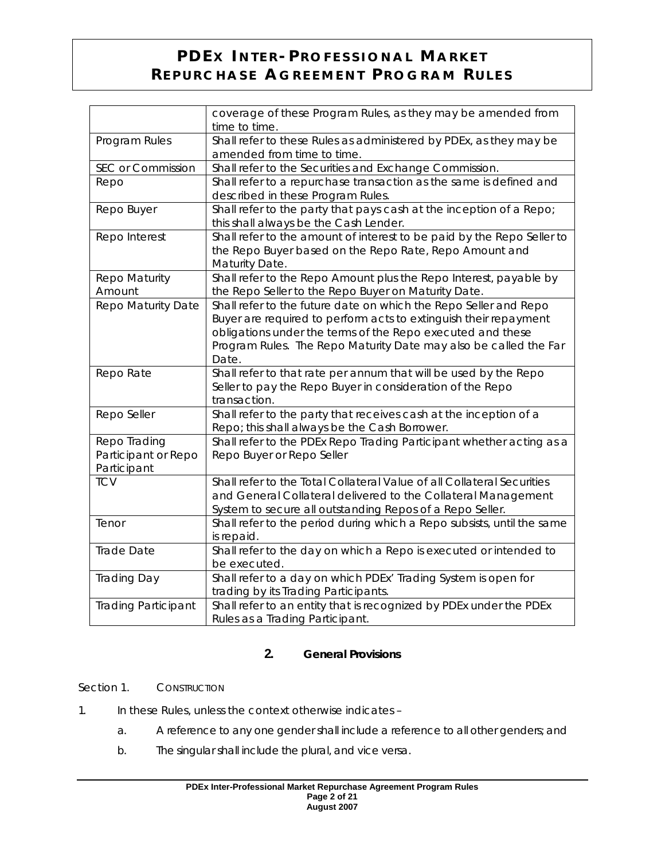|                                                    | coverage of these Program Rules, as they may be amended from<br>time to time.                                                                                                                                                                                                   |
|----------------------------------------------------|---------------------------------------------------------------------------------------------------------------------------------------------------------------------------------------------------------------------------------------------------------------------------------|
| Program Rules                                      | Shall refer to these Rules as administered by PDEx, as they may be<br>amended from time to time.                                                                                                                                                                                |
| SEC or Commission                                  | Shall refer to the Securities and Exchange Commission.                                                                                                                                                                                                                          |
| Repo                                               | Shall refer to a repurchase transaction as the same is defined and<br>described in these Program Rules.                                                                                                                                                                         |
| Repo Buyer                                         | Shall refer to the party that pays cash at the inception of a Repo;<br>this shall always be the Cash Lender.                                                                                                                                                                    |
| Repo Interest                                      | Shall refer to the amount of interest to be paid by the Repo Seller to<br>the Repo Buyer based on the Repo Rate, Repo Amount and<br>Maturity Date.                                                                                                                              |
| Repo Maturity<br>Amount                            | Shall refer to the Repo Amount plus the Repo Interest, payable by<br>the Repo Seller to the Repo Buyer on Maturity Date.                                                                                                                                                        |
| Repo Maturity Date                                 | Shall refer to the future date on which the Repo Seller and Repo<br>Buyer are required to perform acts to extinguish their repayment<br>obligations under the terms of the Repo executed and these<br>Program Rules. The Repo Maturity Date may also be called the Far<br>Date. |
| Repo Rate                                          | Shall refer to that rate per annum that will be used by the Repo<br>Seller to pay the Repo Buyer in consideration of the Repo<br>transaction.                                                                                                                                   |
| Repo Seller                                        | Shall refer to the party that receives cash at the inception of a<br>Repo; this shall always be the Cash Borrower.                                                                                                                                                              |
| Repo Trading<br>Participant or Repo<br>Participant | Shall refer to the PDEx Repo Trading Participant whether acting as a<br>Repo Buyer or Repo Seller                                                                                                                                                                               |
| <b>TCV</b>                                         | Shall refer to the Total Collateral Value of all Collateral Securities<br>and General Collateral delivered to the Collateral Management<br>System to secure all outstanding Repos of a Repo Seller.                                                                             |
| Tenor                                              | Shall refer to the period during which a Repo subsists, until the same<br>is repaid.                                                                                                                                                                                            |
| Trade Date                                         | Shall refer to the day on which a Repo is executed or intended to<br>be executed.                                                                                                                                                                                               |
| Trading Day                                        | Shall refer to a day on which PDEx' Trading System is open for<br>trading by its Trading Participants.                                                                                                                                                                          |
| Trading Participant                                | Shall refer to an entity that is recognized by PDEx under the PDEx<br>Rules as a Trading Participant.                                                                                                                                                                           |

## **2. General Provisions**

### Section 1. CONSTRUCTION

- 1. In these Rules, unless the context otherwise indicates
	- a. A reference to any one gender shall include a reference to all other genders; and
	- b. The singular shall include the plural, and *vice versa*.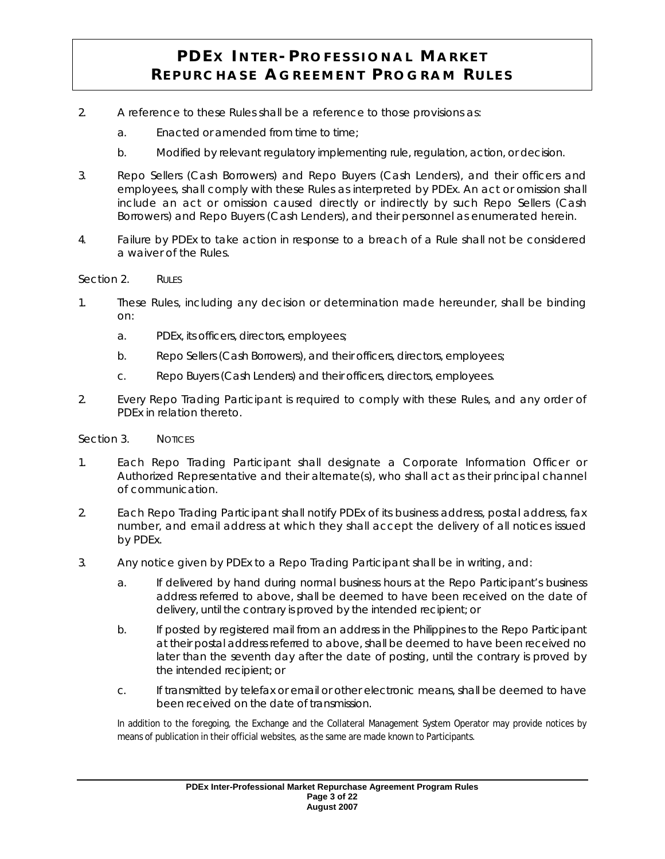- 2. A reference to these Rules shall be a reference to those provisions as:
	- a. Enacted or amended from time to time;
	- b. Modified by relevant regulatory implementing rule, regulation, action, or decision.
- 3. Repo Sellers (Cash Borrowers) and Repo Buyers (Cash Lenders), and their officers and employees, shall comply with these Rules as interpreted by PDEx. An act or omission shall include an act or omission caused directly or indirectly by such Repo Sellers (Cash Borrowers) and Repo Buyers (Cash Lenders), and their personnel as enumerated herein.
- 4. Failure by PDEx to take action in response to a breach of a Rule shall not be considered a waiver of the Rules.

#### Section 2. Rules

- 1. These Rules, including any decision or determination made hereunder, shall be binding on:
	- a. PDEx, its officers, directors, employees;
	- b. Repo Sellers (Cash Borrowers), and their officers, directors, employees;
	- c. Repo Buyers (Cash Lenders) and their officers, directors, employees.
- 2. Every Repo Trading Participant is required to comply with these Rules, and any order of PDEx in relation thereto.

#### Section 3. NOTICES

- 1. Each Repo Trading Participant shall designate a Corporate Information Officer or Authorized Representative and their alternate(s), who shall act as their principal channel of communication.
- 2. Each Repo Trading Participant shall notify PDEx of its business address, postal address, fax number, and email address at which they shall accept the delivery of all notices issued by PDEx.
- 3. Any notice given by PDEx to a Repo Trading Participant shall be in writing, and:
	- a. If delivered by hand during normal business hours at the Repo Participant's business address referred to above, shall be deemed to have been received on the date of delivery, until the contrary is proved by the intended recipient; or
	- b. If posted by registered mail from an address in the Philippines to the Repo Participant at their postal address referred to above, shall be deemed to have been received no later than the seventh day after the date of posting, until the contrary is proved by the intended recipient; or
	- c. If transmitted by telefax or email or other electronic means, shall be deemed to have been received on the date of transmission.

In addition to the foregoing, the Exchange and the Collateral Management System Operator may provide notices by means of publication in their official websites, as the same are made known to Participants.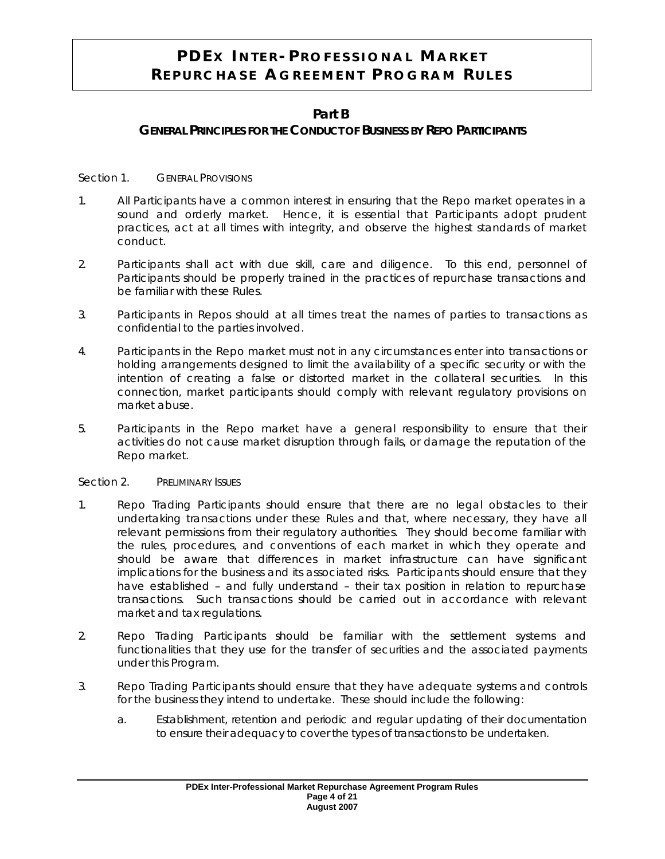## **Part B**

### **GENERAL PRINCIPLES FOR THE CONDUCT OF BUSINESS BY REPO PARTICIPANTS**

Section 1. **GENERAL PROVISIONS** 

- 1. All Participants have a common interest in ensuring that the Repo market operates in a sound and orderly market. Hence, it is essential that Participants adopt prudent practices, act at all times with integrity, and observe the highest standards of market conduct.
- 2. Participants shall act with due skill, care and diligence. To this end, personnel of Participants should be properly trained in the practices of repurchase transactions and be familiar with these Rules.
- 3. Participants in Repos should at all times treat the names of parties to transactions as confidential to the parties involved.
- 4. Participants in the Repo market must not in any circumstances enter into transactions or holding arrangements designed to limit the availability of a specific security or with the intention of creating a false or distorted market in the collateral securities. In this connection, market participants should comply with relevant regulatory provisions on market abuse.
- 5. Participants in the Repo market have a general responsibility to ensure that their activities do not cause market disruption through fails, or damage the reputation of the Repo market.

#### Section 2. PRELIMINARY ISSUES

- 1. Repo Trading Participants should ensure that there are no legal obstacles to their undertaking transactions under these Rules and that, where necessary, they have all relevant permissions from their regulatory authorities. They should become familiar with the rules, procedures, and conventions of each market in which they operate and should be aware that differences in market infrastructure can have significant implications for the business and its associated risks. Participants should ensure that they have established – and fully understand – their tax position in relation to repurchase transactions. Such transactions should be carried out in accordance with relevant market and tax regulations.
- 2. Repo Trading Participants should be familiar with the settlement systems and functionalities that they use for the transfer of securities and the associated payments under this Program.
- 3. Repo Trading Participants should ensure that they have adequate systems and controls for the business they intend to undertake. These should include the following:
	- a. Establishment, retention and periodic and regular updating of their documentation to ensure their adequacy to cover the types of transactions to be undertaken.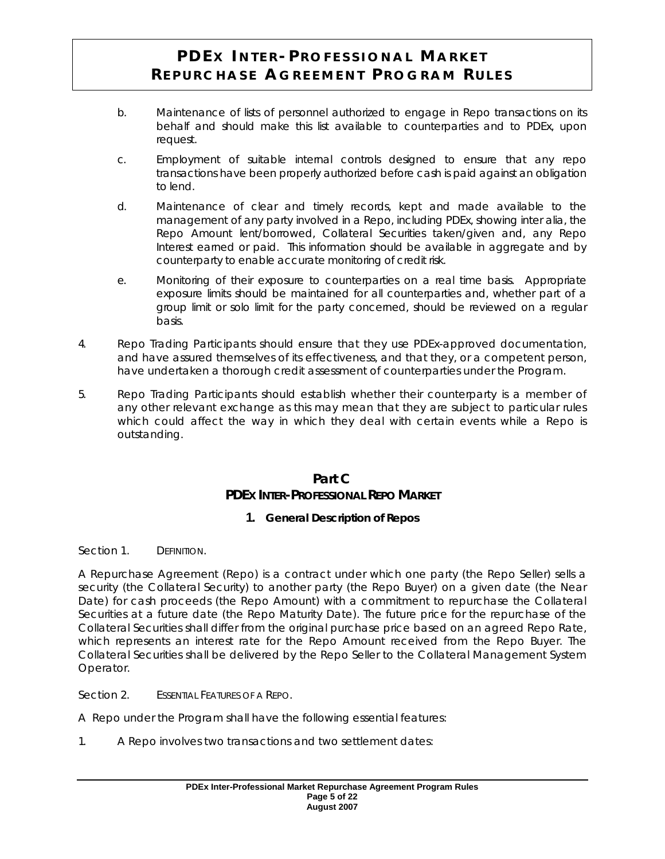- b. Maintenance of lists of personnel authorized to engage in Repo transactions on its behalf and should make this list available to counterparties and to PDEx, upon request.
- c. Employment of suitable internal controls designed to ensure that any repo transactions have been properly authorized before cash is paid against an obligation to lend.
- d. Maintenance of clear and timely records, kept and made available to the management of any party involved in a Repo, including PDEx, showing *inter alia*, the Repo Amount lent/borrowed, Collateral Securities taken/given and, any Repo Interest earned or paid. This information should be available in aggregate and by counterparty to enable accurate monitoring of credit risk.
- e. Monitoring of their exposure to counterparties on a real time basis. Appropriate exposure limits should be maintained for all counterparties and, whether part of a group limit or solo limit for the party concerned, should be reviewed on a regular basis.
- 4. Repo Trading Participants should ensure that they use PDEx-approved documentation, and have assured themselves of its effectiveness, and that they, or a competent person, have undertaken a thorough credit assessment of counterparties under the Program.
- 5. Repo Trading Participants should establish whether their counterparty is a member of any other relevant exchange as this may mean that they are subject to particular rules which could affect the way in which they deal with certain events while a Repo is outstanding.

## **Part C PDEX INTER-PROFESSIONAL REPO MARKET**

## **1. General Description of Repos**

#### Section 1. DEFINITION.

A Repurchase Agreement (Repo) is a contract under which one party (the Repo Seller) sells a security (the Collateral Security) to another party (the Repo Buyer) on a given date (the Near Date) for cash proceeds (the Repo Amount) with a commitment to repurchase the Collateral Securities at a future date (the Repo Maturity Date). The future price for the repurchase of the Collateral Securities shall differ from the original purchase price based on an agreed Repo Rate, which represents an interest rate for the Repo Amount received from the Repo Buyer. The Collateral Securities shall be delivered by the Repo Seller to the Collateral Management System Operator.

Section 2. ESSENTIAL FEATURES OF A REPO.

A Repo under the Program shall have the following essential features:

1. A Repo involves two transactions and two settlement dates: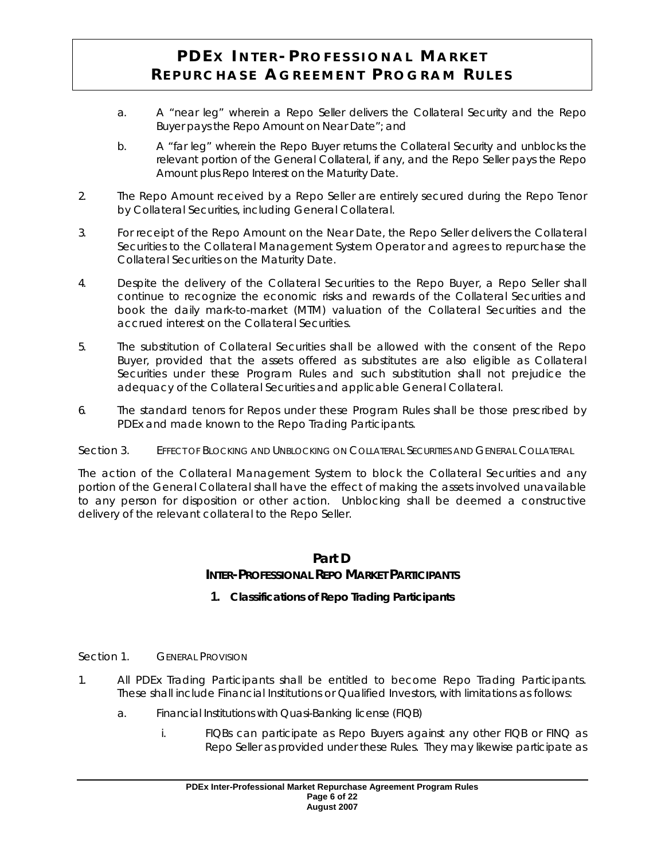- a. A "near leg" wherein a Repo Seller delivers the Collateral Security and the Repo Buyer pays the Repo Amount on Near Date"; and
- b. A "far leg" wherein the Repo Buyer returns the Collateral Security and unblocks the relevant portion of the General Collateral, if any, and the Repo Seller pays the Repo Amount plus Repo Interest on the Maturity Date.
- 2. The Repo Amount received by a Repo Seller are entirely secured during the Repo Tenor by Collateral Securities, including General Collateral.
- 3. For receipt of the Repo Amount on the Near Date, the Repo Seller delivers the Collateral Securities to the Collateral Management System Operator and agrees to repurchase the Collateral Securities on the Maturity Date.
- 4. Despite the delivery of the Collateral Securities to the Repo Buyer, a Repo Seller shall continue to recognize the economic risks and rewards of the Collateral Securities and book the daily mark-to-market (MTM) valuation of the Collateral Securities and the accrued interest on the Collateral Securities.
- 5. The substitution of Collateral Securities shall be allowed with the consent of the Repo Buyer, provided that the assets offered as substitutes are also eligible as Collateral Securities under these Program Rules and such substitution shall not prejudice the adequacy of the Collateral Securities and applicable General Collateral.
- 6. The standard tenors for Repos under these Program Rules shall be those prescribed by PDEx and made known to the Repo Trading Participants.
- Section 3. EFFECT OF BLOCKING AND UNBLOCKING ON COLLATERAL SECURITIES AND GENERAL COLLATERAL

The action of the Collateral Management System to block the Collateral Securities and any portion of the General Collateral shall have the effect of making the assets involved unavailable to any person for disposition or other action. Unblocking shall be deemed a constructive delivery of the relevant collateral to the Repo Seller.

## **Part D INTER-PROFESSIONAL REPO MARKET PARTICIPANTS**

- **1. Classifications of Repo Trading Participants**
- Section 1. **GENERAL PROVISION**
- 1. All PDEx Trading Participants shall be entitled to become Repo Trading Participants. These shall include Financial Institutions or Qualified Investors, with limitations as follows:
	- a. Financial Institutions with Quasi-Banking license (FIQB)
		- i. FIQBs can participate as Repo Buyers against any other FIQB or FINQ as Repo Seller as provided under these Rules. They may likewise participate as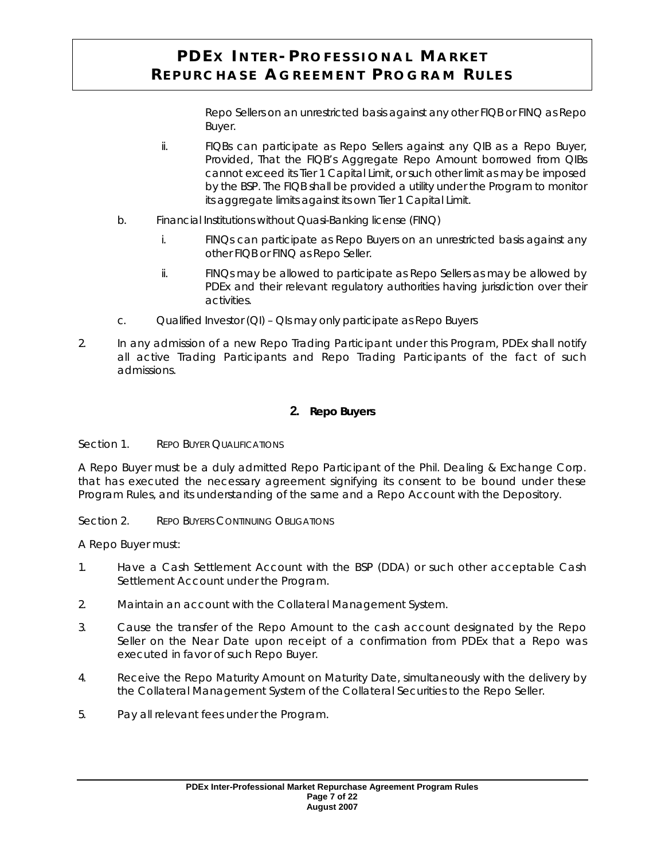Repo Sellers on an unrestricted basis against any other FIQB or FINQ as Repo Buyer.

- ii. FIQBs can participate as Repo Sellers against any QIB as a Repo Buyer, *Provided*, That the FIQB's Aggregate Repo Amount borrowed from QIBs cannot exceed its Tier 1 Capital Limit, or such other limit as may be imposed by the BSP. The FIQB shall be provided a utility under the Program to monitor its aggregate limits against its own Tier 1 Capital Limit.
- b. Financial Institutions without Quasi-Banking license (FINQ)
	- i. FINQs can participate as Repo Buyers on an unrestricted basis against any other FIQB or FINQ as Repo Seller.
	- ii. FINQs may be allowed to participate as Repo Sellers as may be allowed by PDEx and their relevant regulatory authorities having jurisdiction over their activities.
- c. Qualified Investor (QI) QIs may only participate as Repo Buyers
- 2. In any admission of a new Repo Trading Participant under this Program, PDEx shall notify all active Trading Participants and Repo Trading Participants of the fact of such admissions.

### **2. Repo Buyers**

#### Section 1. REPO BUYER QUALIFICATIONS

A Repo Buyer must be a duly admitted Repo Participant of the Phil. Dealing & Exchange Corp. that has executed the necessary agreement signifying its consent to be bound under these Program Rules, and its understanding of the same and a Repo Account with the Depository.

Section 2. REPO BUYERS CONTINUING OBLIGATIONS

A Repo Buyer must:

- 1. Have a Cash Settlement Account with the BSP (DDA) or such other acceptable Cash Settlement Account under the Program.
- 2. Maintain an account with the Collateral Management System.
- 3. Cause the transfer of the Repo Amount to the cash account designated by the Repo Seller on the Near Date upon receipt of a confirmation from PDEx that a Repo was executed in favor of such Repo Buyer.
- 4. Receive the Repo Maturity Amount on Maturity Date, simultaneously with the delivery by the Collateral Management System of the Collateral Securities to the Repo Seller.
- 5. Pay all relevant fees under the Program.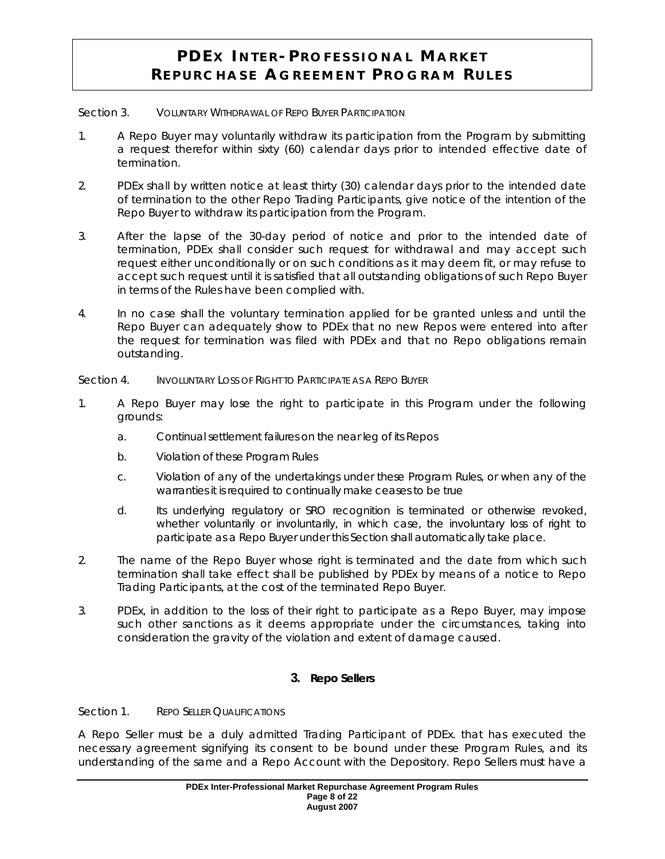#### Section 3. VOLUNTARY WITHDRAWAL OF REPO BUYER PARTICIPATION

- 1. A Repo Buyer may voluntarily withdraw its participation from the Program by submitting a request therefor within sixty (60) calendar days prior to intended effective date of termination.
- 2. PDEx shall by written notice at least thirty (30) calendar days prior to the intended date of termination to the other Repo Trading Participants, give notice of the intention of the Repo Buyer to withdraw its participation from the Program.
- 3. After the lapse of the 30-day period of notice and prior to the intended date of termination, PDEx shall consider such request for withdrawal and may accept such request either unconditionally or on such conditions as it may deem fit, or may refuse to accept such request until it is satisfied that all outstanding obligations of such Repo Buyer in terms of the Rules have been complied with.
- 4. In no case shall the voluntary termination applied for be granted unless and until the Repo Buyer can adequately show to PDEx that no new Repos were entered into after the request for termination was filed with PDEx and that no Repo obligations remain outstanding.

Section 4. INVOLUNTARY LOSS OF RIGHT TO PARTICIPATE AS A REPO BUYER

- 1. A Repo Buyer may lose the right to participate in this Program under the following grounds:
	- a. Continual settlement failures on the near leg of its Repos
	- b. Violation of these Program Rules
	- c. Violation of any of the undertakings under these Program Rules, or when any of the warranties it is required to continually make ceases to be true
	- d. Its underlying regulatory or SRO recognition is terminated or otherwise revoked, whether voluntarily or involuntarily, in which case, the involuntary loss of right to participate as a Repo Buyer under this Section shall automatically take place.
- 2. The name of the Repo Buyer whose right is terminated and the date from which such termination shall take effect shall be published by PDEx by means of a notice to Repo Trading Participants, at the cost of the terminated Repo Buyer.
- 3. PDEx, in addition to the loss of their right to participate as a Repo Buyer, may impose such other sanctions as it deems appropriate under the circumstances, taking into consideration the gravity of the violation and extent of damage caused.

## **3. Repo Sellers**

### Section 1. REPO SELLER QUALIFICATIONS

A Repo Seller must be a duly admitted Trading Participant of PDEx. that has executed the necessary agreement signifying its consent to be bound under these Program Rules, and its understanding of the same and a Repo Account with the Depository. Repo Sellers must have a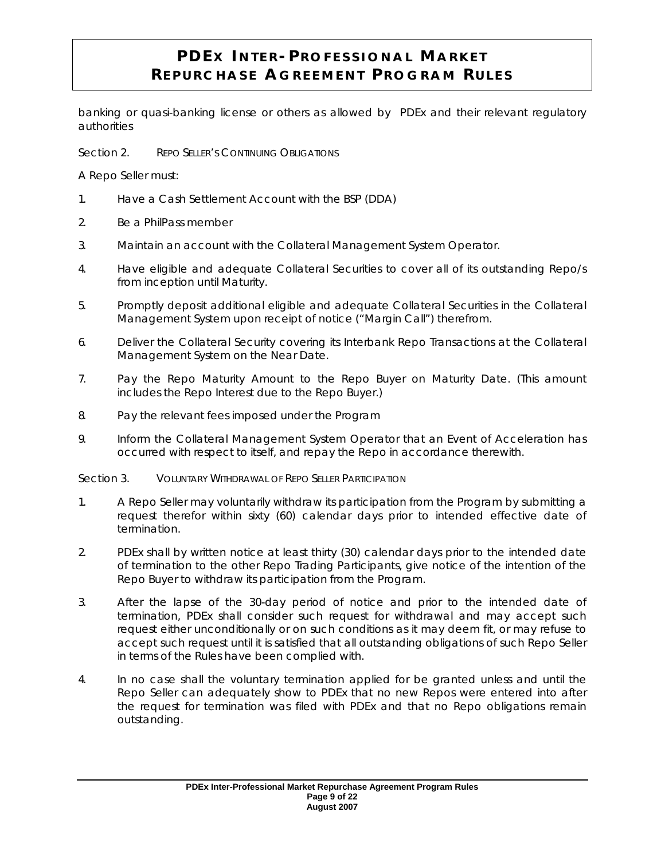banking or quasi-banking license or others as allowed by PDEx and their relevant regulatory authorities

Section 2. REPO SELLER'S CONTINUING OBLIGATIONS

A Repo Seller must:

- 1. Have a Cash Settlement Account with the BSP (DDA)
- 2. Be a PhilPass member
- 3. Maintain an account with the Collateral Management System Operator.
- 4. Have eligible and adequate Collateral Securities to cover all of its outstanding Repo/s from inception until Maturity.
- 5. Promptly deposit additional eligible and adequate Collateral Securities in the Collateral Management System upon receipt of notice ("Margin Call") therefrom.
- 6. Deliver the Collateral Security covering its Interbank Repo Transactions at the Collateral Management System on the Near Date.
- 7. Pay the Repo Maturity Amount to the Repo Buyer on Maturity Date. (This amount includes the Repo Interest due to the Repo Buyer.)
- 8. Pay the relevant fees imposed under the Program
- 9. Inform the Collateral Management System Operator that an Event of Acceleration has occurred with respect to itself, and repay the Repo in accordance therewith.

#### Section 3. VOLUNTARY WITHDRAWAL OF REPO SELLER PARTICIPATION

- 1. A Repo Seller may voluntarily withdraw its participation from the Program by submitting a request therefor within sixty (60) calendar days prior to intended effective date of termination.
- 2. PDEx shall by written notice at least thirty (30) calendar days prior to the intended date of termination to the other Repo Trading Participants, give notice of the intention of the Repo Buyer to withdraw its participation from the Program.
- 3. After the lapse of the 30-day period of notice and prior to the intended date of termination, PDEx shall consider such request for withdrawal and may accept such request either unconditionally or on such conditions as it may deem fit, or may refuse to accept such request until it is satisfied that all outstanding obligations of such Repo Seller in terms of the Rules have been complied with.
- 4. In no case shall the voluntary termination applied for be granted unless and until the Repo Seller can adequately show to PDEx that no new Repos were entered into after the request for termination was filed with PDEx and that no Repo obligations remain outstanding.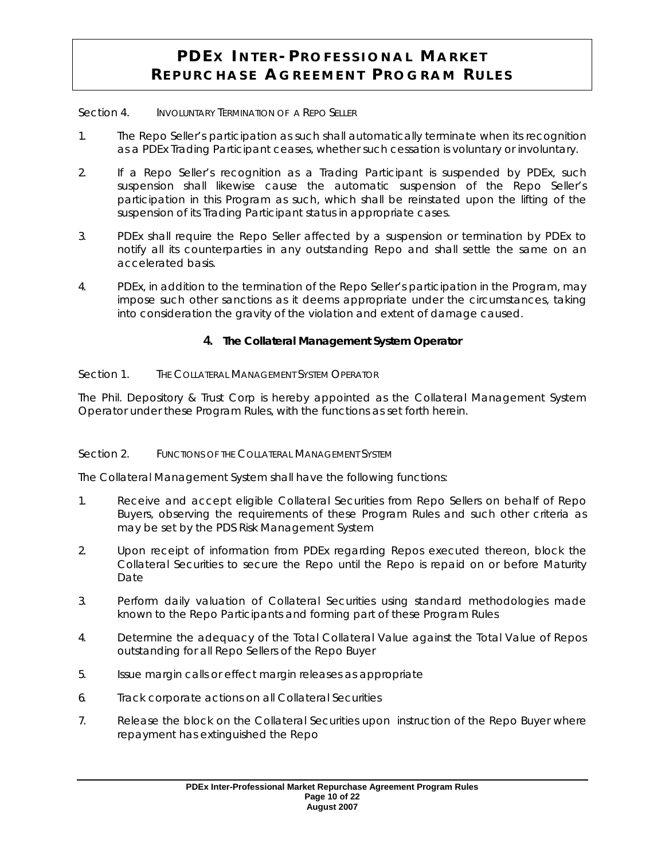#### Section 4. INVOLUNTARY TERMINATION OF A REPO SELLER

- 1. The Repo Seller's participation as such shall automatically terminate when its recognition as a PDEx Trading Participant ceases, whether such cessation is voluntary or involuntary.
- 2. If a Repo Seller's recognition as a Trading Participant is suspended by PDEx, such suspension shall likewise cause the automatic suspension of the Repo Seller's participation in this Program as such, which shall be reinstated upon the lifting of the suspension of its Trading Participant status in appropriate cases.
- 3. PDEx shall require the Repo Seller affected by a suspension or termination by PDEx to notify all its counterparties in any outstanding Repo and shall settle the same on an accelerated basis.
- 4. PDEx, in addition to the termination of the Repo Seller's participation in the Program, may impose such other sanctions as it deems appropriate under the circumstances, taking into consideration the gravity of the violation and extent of damage caused.

#### **4. The Collateral Management System Operator**

Section 1. THE COLLATERAL MANAGEMENT SYSTEM OPERATOR

The Phil. Depository & Trust Corp is hereby appointed as the Collateral Management System Operator under these Program Rules, with the functions as set forth herein.

#### Section 2. FUNCTIONS OF THE COLLATERAL MANAGEMENT SYSTEM

The Collateral Management System shall have the following functions:

- 1. Receive and accept eligible Collateral Securities from Repo Sellers on behalf of Repo Buyers, observing the requirements of these Program Rules and such other criteria as may be set by the PDS Risk Management System
- 2. Upon receipt of information from PDEx regarding Repos executed thereon, block the Collateral Securities to secure the Repo until the Repo is repaid on or before Maturity Date
- 3. Perform daily valuation of Collateral Securities using standard methodologies made known to the Repo Participants and forming part of these Program Rules
- 4. Determine the adequacy of the Total Collateral Value against the Total Value of Repos outstanding for all Repo Sellers of the Repo Buyer
- 5. Issue margin calls or effect margin releases as appropriate
- 6. Track corporate actions on all Collateral Securities
- 7. Release the block on the Collateral Securities upon instruction of the Repo Buyer where repayment has extinguished the Repo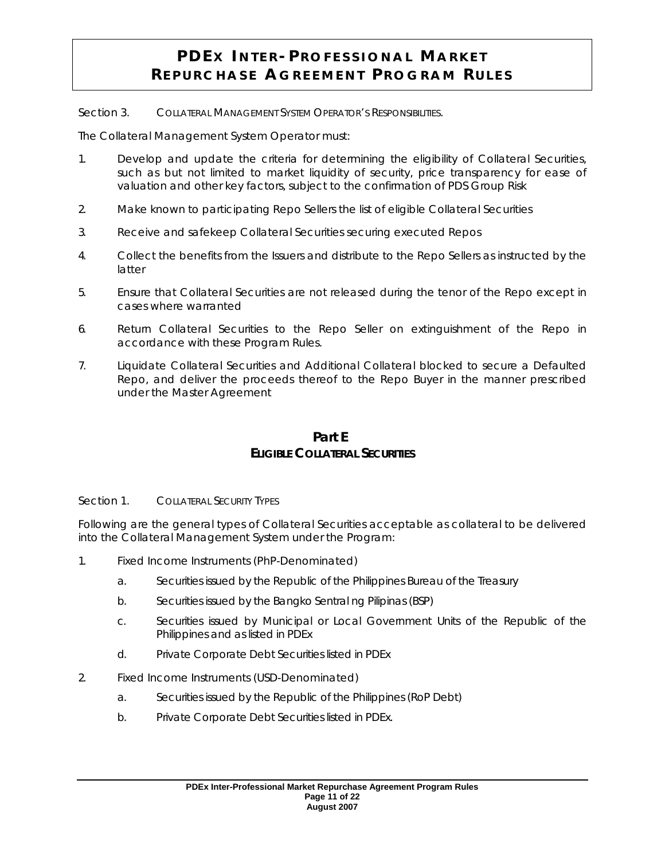Section 3. COLLATERAL MANAGEMENT SYSTEM OPERATOR'S RESPONSIBILITIES.

The Collateral Management System Operator must:

- 1. Develop and update the criteria for determining the eligibility of Collateral Securities, such as but not limited to market liquidity of security, price transparency for ease of valuation and other key factors, subject to the confirmation of PDS Group Risk
- 2. Make known to participating Repo Sellers the list of eligible Collateral Securities
- 3. Receive and safekeep Collateral Securities securing executed Repos
- 4. Collect the benefits from the Issuers and distribute to the Repo Sellers as instructed by the latter
- 5. Ensure that Collateral Securities are not released during the tenor of the Repo except in cases where warranted
- 6. Return Collateral Securities to the Repo Seller on extinguishment of the Repo in accordance with these Program Rules.
- 7. Liquidate Collateral Securities and Additional Collateral blocked to secure a Defaulted Repo, and deliver the proceeds thereof to the Repo Buyer in the manner prescribed under the Master Agreement

## **Part E ELIGIBLE COLLATERAL SECURITIES**

Section 1. COLLATERAL SECURITY TYPES

Following are the general types of Collateral Securities acceptable as collateral to be delivered into the Collateral Management System under the Program:

- 1. Fixed Income Instruments (PhP-Denominated)
	- a. Securities issued by the Republic of the Philippines Bureau of the Treasury
	- b. Securities issued by the Bangko Sentral ng Pilipinas (BSP)
	- c. Securities issued by Municipal or Local Government Units of the Republic of the Philippines and as listed in PDEx
	- d. Private Corporate Debt Securities listed in PDEx
- 2. Fixed Income Instruments (USD-Denominated)
	- a. Securities issued by the Republic of the Philippines (RoP Debt)
	- b. Private Corporate Debt Securities listed in PDEx.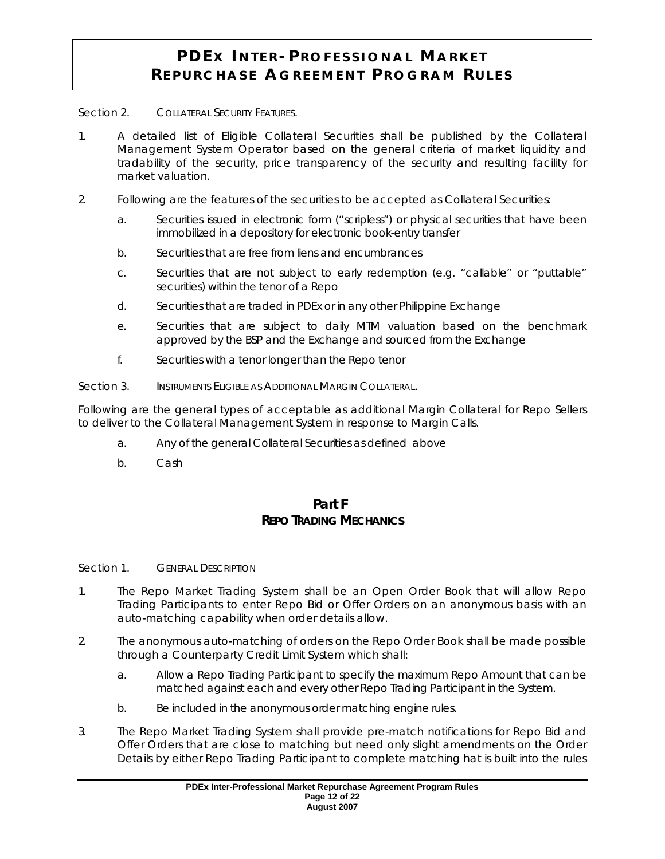Section 2. COLLATERAL SECURITY FEATURES.

- 1. A detailed list of Eligible Collateral Securities shall be published by the Collateral Management System Operator based on the general criteria of market liquidity and tradability of the security, price transparency of the security and resulting facility for market valuation.
- 2. Following are the features of the securities to be accepted as Collateral Securities:
	- a. Securities issued in electronic form ("scripless") or physical securities that have been immobilized in a depository for electronic book-entry transfer
	- b. Securities that are free from liens and encumbrances
	- c. Securities that are not subject to early redemption (e.g. "callable" or "puttable" securities) within the tenor of a Repo
	- d. Securities that are traded in PDEx or in any other Philippine Exchange
	- e. Securities that are subject to daily MTM valuation based on the benchmark approved by the BSP and the Exchange and sourced from the Exchange
	- f. Securities with a tenor longer than the Repo tenor
- Section 3. INSTRUMENTS ELIGIBLE AS ADDITIONAL MARGIN COLLATERAL.

Following are the general types of acceptable as additional Margin Collateral for Repo Sellers to deliver to the Collateral Management System in response to Margin Calls.

- a. Any of the general Collateral Securities as defined above
- b. Cash

### **Part F REPO TRADING MECHANICS**

#### Section 1. **GENERAL DESCRIPTION**

- 1. The Repo Market Trading System shall be an Open Order Book that will allow Repo Trading Participants to enter Repo Bid or Offer Orders on an anonymous basis with an auto-matching capability when order details allow.
- 2. The anonymous auto-matching of orders on the Repo Order Book shall be made possible through a Counterparty Credit Limit System which shall:
	- a. Allow a Repo Trading Participant to specify the maximum Repo Amount that can be matched against each and every other Repo Trading Participant in the System.
	- b. Be included in the anonymous order matching engine rules.
- 3. The Repo Market Trading System shall provide pre-match notifications for Repo Bid and Offer Orders that are close to matching but need only slight amendments on the Order Details by either Repo Trading Participant to complete matching hat is built into the rules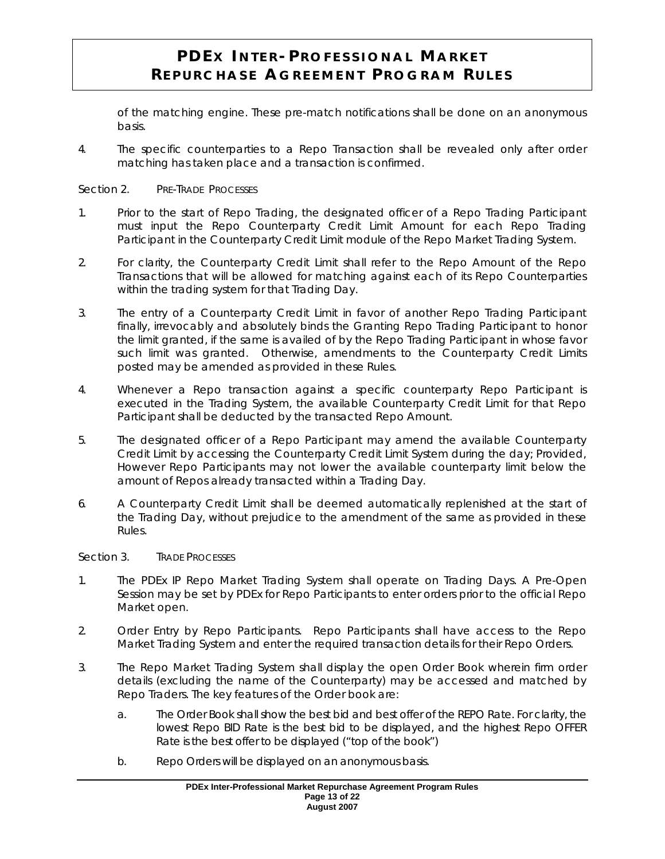of the matching engine. These pre-match notifications shall be done on an anonymous basis.

4. The specific counterparties to a Repo Transaction shall be revealed only after order matching has taken place and a transaction is confirmed.

#### Section 2. PRE-TRADE PROCESSES

- 1. Prior to the start of Repo Trading, the designated officer of a Repo Trading Participant must input the Repo Counterparty Credit Limit Amount for each Repo Trading Participant in the Counterparty Credit Limit module of the Repo Market Trading System.
- 2. For clarity, the Counterparty Credit Limit shall refer to the Repo Amount of the Repo Transactions that will be allowed for matching against each of its Repo Counterparties within the trading system for that Trading Day.
- 3. The entry of a Counterparty Credit Limit in favor of another Repo Trading Participant finally, irrevocably and absolutely binds the Granting Repo Trading Participant to honor the limit granted, if the same is availed of by the Repo Trading Participant in whose favor such limit was granted. Otherwise, amendments to the Counterparty Credit Limits posted may be amended as provided in these Rules.
- 4. Whenever a Repo transaction against a specific counterparty Repo Participant is executed in the Trading System, the available Counterparty Credit Limit for that Repo Participant shall be deducted by the transacted Repo Amount.
- 5. The designated officer of a Repo Participant may amend the available Counterparty Credit Limit by accessing the Counterparty Credit Limit System during the day; *Provided, However* Repo Participants may not lower the available counterparty limit below the amount of Repos already transacted within a Trading Day.
- 6. A Counterparty Credit Limit shall be deemed automatically replenished at the start of the Trading Day, without prejudice to the amendment of the same as provided in these Rules.

Section 3. TRADE PROCESSES

- 1. The PDEx IP Repo Market Trading System shall operate on Trading Days. A Pre-Open Session may be set by PDEx for Repo Participants to enter orders prior to the official Repo Market open.
- 2. Order Entry by Repo Participants. Repo Participants shall have access to the Repo Market Trading System and enter the required transaction details for their Repo Orders.
- 3. The Repo Market Trading System shall display the open Order Book wherein firm order details (excluding the name of the Counterparty) may be accessed and matched by Repo Traders. The key features of the Order book are:
	- a. The Order Book shall show the best bid and best offer of the REPO Rate. For clarity, the lowest Repo BID Rate is the best bid to be displayed, and the highest Repo OFFER Rate is the best offer to be displayed ("top of the book")
	- b. Repo Orders will be displayed on an anonymous basis.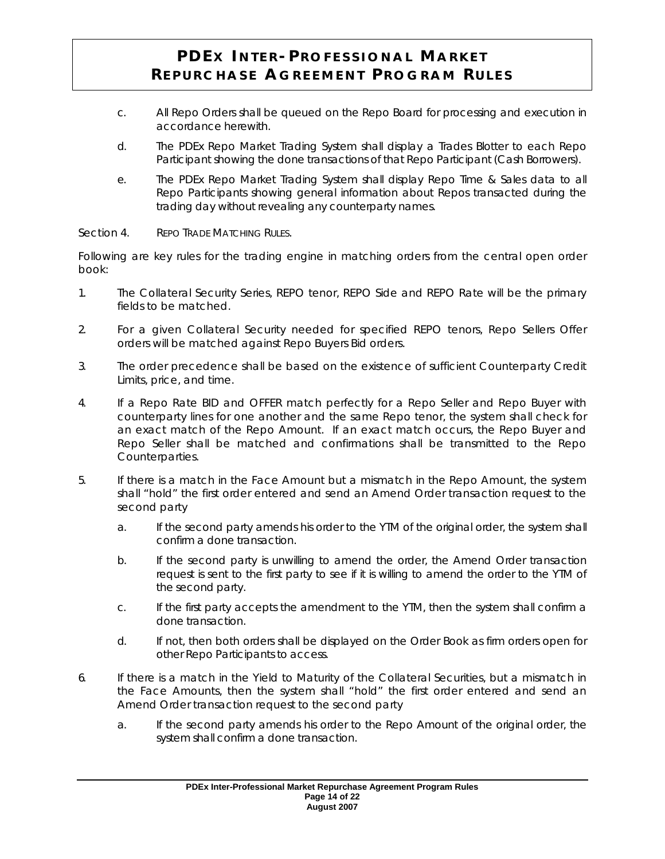- c. All Repo Orders shall be queued on the Repo Board for processing and execution in accordance herewith.
- d. The PDEx Repo Market Trading System shall display a Trades Blotter to each Repo Participant showing the done transactions of that Repo Participant (Cash Borrowers).
- e. The PDEx Repo Market Trading System shall display Repo Time & Sales data to all Repo Participants showing general information about Repos transacted during the trading day without revealing any counterparty names.

#### Section 4. REPO TRADE MATCHING RULES.

Following are key rules for the trading engine in matching orders from the central open order book:

- 1. The Collateral Security Series, REPO tenor, REPO Side and REPO Rate will be the primary fields to be matched.
- 2. For a given Collateral Security needed for specified REPO tenors, Repo Sellers Offer orders will be matched against Repo Buyers Bid orders.
- 3. The order precedence shall be based on the existence of sufficient Counterparty Credit Limits, price, and time.
- 4. If a Repo Rate BID and OFFER match perfectly for a Repo Seller and Repo Buyer with counterparty lines for one another and the same Repo tenor, the system shall check for an exact match of the Repo Amount. If an exact match occurs, the Repo Buyer and Repo Seller shall be matched and confirmations shall be transmitted to the Repo Counterparties.
- 5. If there is a match in the Face Amount but a mismatch in the Repo Amount, the system shall "hold" the first order entered and send an Amend Order transaction request to the second party
	- a. If the second party amends his order to the YTM of the original order, the system shall confirm a done transaction.
	- b. If the second party is unwilling to amend the order, the Amend Order transaction request is sent to the first party to see if it is willing to amend the order to the YTM of the second party.
	- c. If the first party accepts the amendment to the YTM, then the system shall confirm a done transaction.
	- d. If not, then both orders shall be displayed on the Order Book as firm orders open for other Repo Participants to access.
- 6. If there is a match in the Yield to Maturity of the Collateral Securities, but a mismatch in the Face Amounts, then the system shall "hold" the first order entered and send an Amend Order transaction request to the second party
	- a. If the second party amends his order to the Repo Amount of the original order, the system shall confirm a done transaction.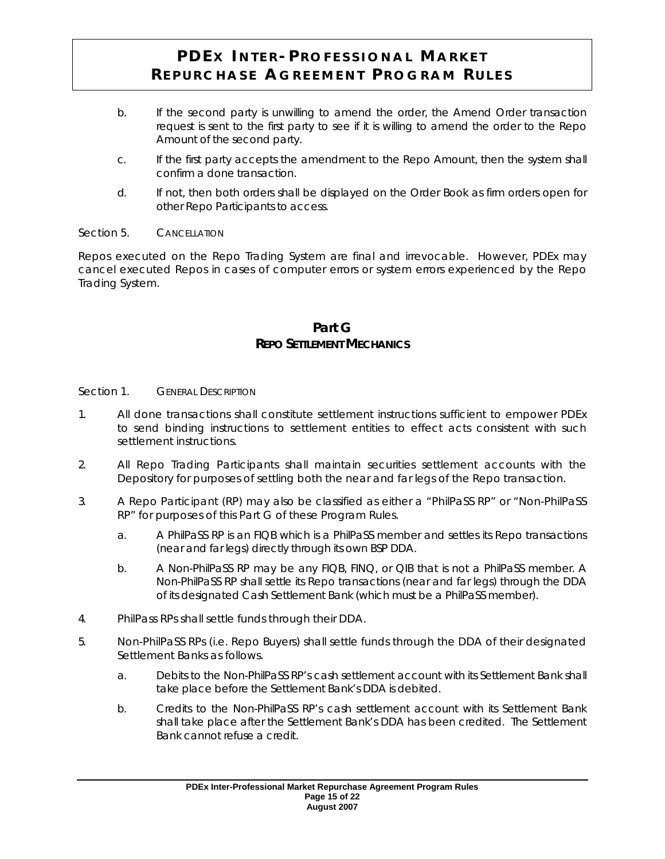- b. If the second party is unwilling to amend the order, the Amend Order transaction request is sent to the first party to see if it is willing to amend the order to the Repo Amount of the second party.
- c. If the first party accepts the amendment to the Repo Amount, then the system shall confirm a done transaction.
- d. If not, then both orders shall be displayed on the Order Book as firm orders open for other Repo Participants to access.

#### Section 5. CANCELLATION

Repos executed on the Repo Trading System are final and irrevocable. However, PDEx may cancel executed Repos in cases of computer errors or system errors experienced by the Repo Trading System.

### **Part G REPO SETTLEMENT MECHANICS**

#### Section 1. **GENERAL DESCRIPTION**

- 1. All done transactions shall constitute settlement instructions sufficient to empower PDEx to send binding instructions to settlement entities to effect acts consistent with such settlement instructions.
- 2. All Repo Trading Participants shall maintain securities settlement accounts with the Depository for purposes of settling both the near and far legs of the Repo transaction.
- 3. A Repo Participant (RP) may also be classified as either a "*PhilPaSS* RP" or "Non-*PhilPaSS* RP" for purposes of this Part G of these Program Rules.
	- a. A *PhilPaSS* RP is an FIQB which is a *PhilPaSS* member and settles its Repo transactions (near and far legs) directly through its own BSP DDA.
	- b. A Non-*PhilPaSS* RP may be any FIQB, FINQ, or QIB that is not a *PhilPaSS* member. A Non-*PhilPaSS* RP shall settle its Repo transactions (near and far legs) through the DDA of its designated Cash Settlement Bank (which must be a *PhilPaSS* member).
- 4. *PhilPass* RPs shall settle funds through their DDA.
- 5. Non-*PhilPaSS* RPs (i.e. Repo Buyers) shall settle funds through the DDA of their designated Settlement Banks as follows.
	- a. Debits to the Non-*PhilPaSS* RP's cash settlement account with its Settlement Bank shall take place before the Settlement Bank's DDA is debited.
	- b. Credits to the Non-*PhilPaSS* RP's cash settlement account with its Settlement Bank shall take place after the Settlement Bank's DDA has been credited. The Settlement Bank cannot refuse a credit.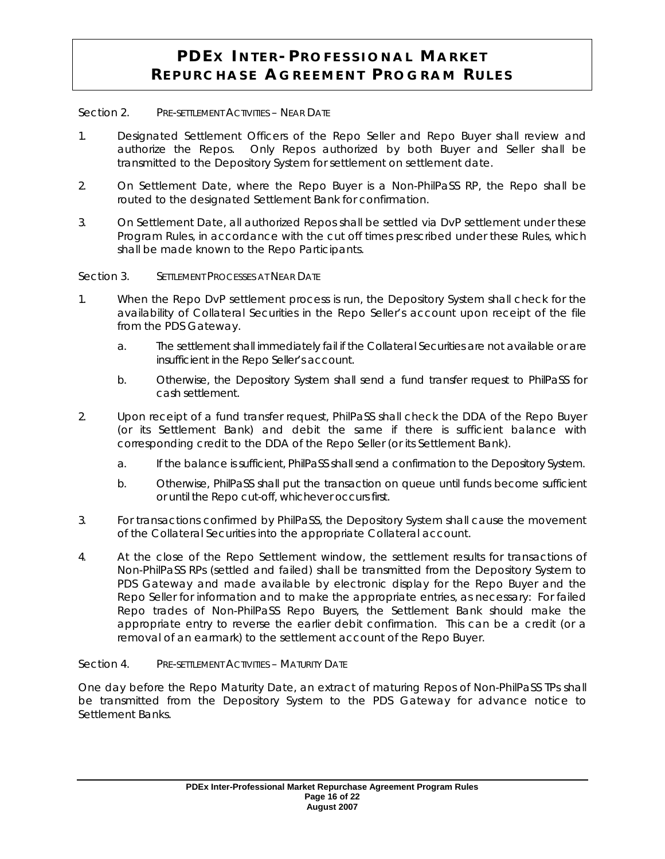#### Section 2. PRE-SETTLEMENT ACTIVITIES - NEAR DATE

- 1. Designated Settlement Officers of the Repo Seller and Repo Buyer shall review and authorize the Repos. Only Repos authorized by both Buyer and Seller shall be transmitted to the Depository System for settlement on settlement date.
- 2. On Settlement Date, where the Repo Buyer is a Non-*PhilPaSS* RP, the Repo shall be routed to the designated Settlement Bank for confirmation.
- 3. On Settlement Date, all authorized Repos shall be settled via DvP settlement under these Program Rules, in accordance with the cut off times prescribed under these Rules, which shall be made known to the Repo Participants.

Section 3. SETTLEMENT PROCESSES AT NEAR DATE

- 1. When the Repo DvP settlement process is run, the Depository System shall check for the availability of Collateral Securities in the Repo Seller's account upon receipt of the file from the PDS Gateway.
	- a. The settlement shall immediately fail if the Collateral Securities are not available or are insufficient in the Repo Seller's account.
	- b. Otherwise, the Depository System shall send a fund transfer request to *PhilPaSS* for cash settlement.
- 2. Upon receipt of a fund transfer request, *PhilPaSS* shall check the DDA of the Repo Buyer (or its Settlement Bank) and debit the same if there is sufficient balance with corresponding credit to the DDA of the Repo Seller (or its Settlement Bank).
	- a. If the balance is sufficient, *PhilPaSS* shall send a confirmation to the Depository System.
	- b. Otherwise, *PhilPaSS* shall put the transaction on queue until funds become sufficient or until the Repo cut-off, whichever occurs first.
- 3. For transactions confirmed by *PhilPaSS*, the Depository System shall cause the movement of the Collateral Securities into the appropriate Collateral account.
- 4. At the close of the Repo Settlement window, the settlement results for transactions of Non-*PhilPaSS* RPs (settled and failed) shall be transmitted from the Depository System to PDS Gateway and made available by electronic display for the Repo Buyer and the Repo Seller for information and to make the appropriate entries, as necessary: For failed Repo trades of Non-*PhilPaSS* Repo Buyers, the Settlement Bank should make the appropriate entry to reverse the earlier debit confirmation. This can be a credit (or a removal of an earmark) to the settlement account of the Repo Buyer.

Section 4. PRE-SETTLEMENT ACTIVITIES - MATURITY DATE

One day before the Repo Maturity Date, an extract of maturing Repos of Non-*PhilPaSS* TPs shall be transmitted from the Depository System to the PDS Gateway for advance notice to Settlement Banks.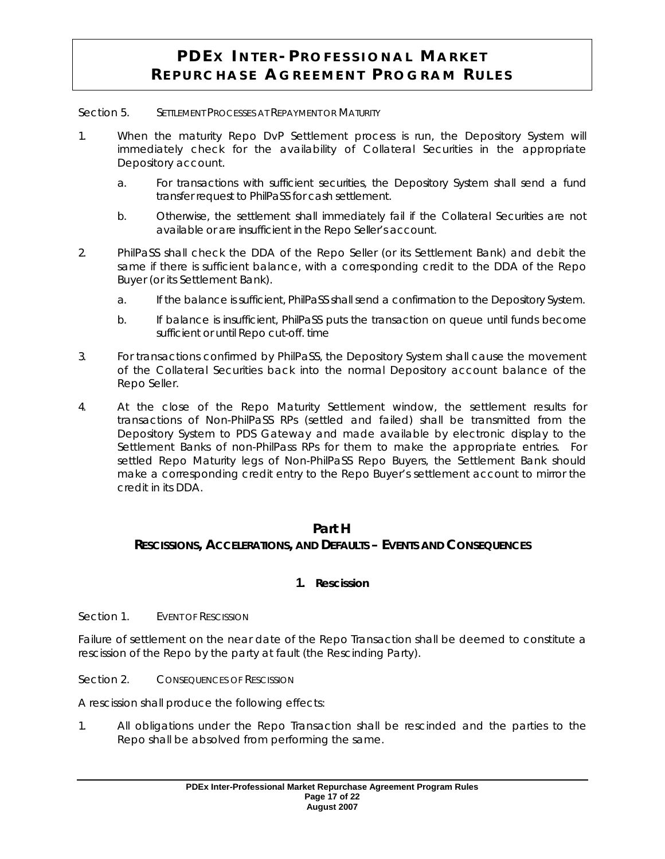Section 5. SETTLEMENT PROCESSES AT REPAYMENT OR MATURITY

- 1. When the maturity Repo DvP Settlement process is run, the Depository System will immediately check for the availability of Collateral Securities in the appropriate Depository account.
	- a. For transactions with sufficient securities, the Depository System shall send a fund transfer request to *PhilPaSS* for cash settlement.
	- b. Otherwise, the settlement shall immediately fail if the Collateral Securities are not available or are insufficient in the Repo Seller's account.
- 2. *PhilPaSS* shall check the DDA of the Repo Seller (or its Settlement Bank) and debit the same if there is sufficient balance, with a corresponding credit to the DDA of the Repo Buyer (or its Settlement Bank).
	- a. If the balance is sufficient, *PhilPaSS* shall send a confirmation to the Depository System.
	- b. If balance is insufficient, *PhilPaSS* puts the transaction on queue until funds become sufficient or until Repo cut-off. time
- 3. For transactions confirmed by *PhilPaSS*, the Depository System shall cause the movement of the Collateral Securities back into the normal Depository account balance of the Repo Seller.
- 4. At the close of the Repo Maturity Settlement window, the settlement results for transactions of Non-*PhilPaSS* RPs (settled and failed) shall be transmitted from the Depository System to PDS Gateway and made available by electronic display to the Settlement Banks of non-*PhilPass* RPs for them to make the appropriate entries. For settled Repo Maturity legs of Non-*PhilPaSS* Repo Buyers, the Settlement Bank should make a corresponding credit entry to the Repo Buyer's settlement account to mirror the credit in its DDA.

#### **Part H**

## **RESCISSIONS, ACCELERATIONS, AND DEFAULTS – EVENTS AND CONSEQUENCES**

### **1. Rescission**

Section 1. EVENT OF RESCISSION

Failure of settlement on the near date of the Repo Transaction shall be deemed to constitute a rescission of the Repo by the party at fault (the Rescinding Party).

Section 2. CONSEQUENCES OF RESCISSION

A rescission shall produce the following effects:

1. All obligations under the Repo Transaction shall be rescinded and the parties to the Repo shall be absolved from performing the same.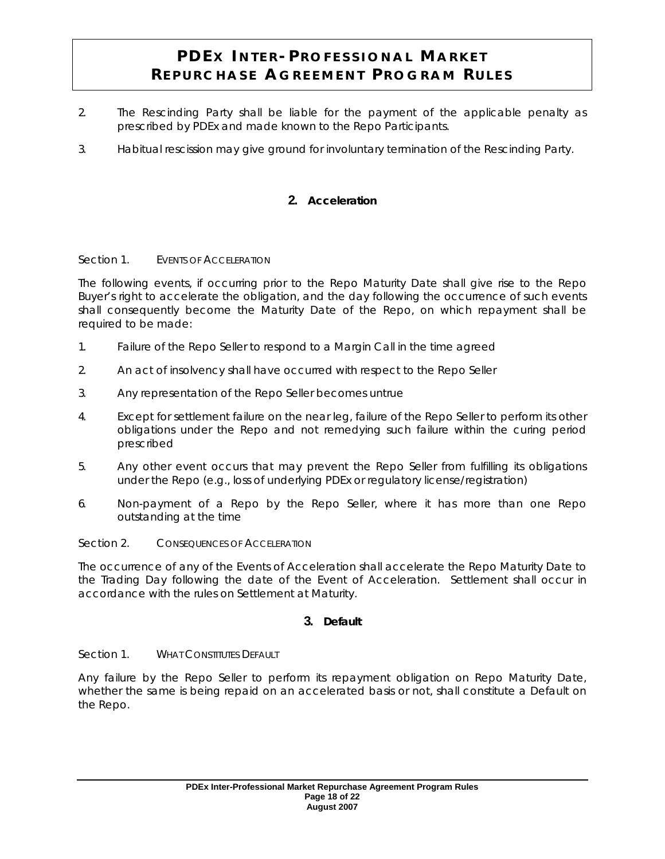- 2. The Rescinding Party shall be liable for the payment of the applicable penalty as prescribed by PDEx and made known to the Repo Participants.
- 3. Habitual rescission may give ground for involuntary termination of the Rescinding Party.

## **2. Acceleration**

#### Section 1. EVENTS OF ACCELERATION

The following events, if occurring prior to the Repo Maturity Date shall give rise to the Repo Buyer's right to accelerate the obligation, and the day following the occurrence of such events shall consequently become the Maturity Date of the Repo, on which repayment shall be required to be made:

- 1. Failure of the Repo Seller to respond to a Margin Call in the time agreed
- 2. An act of insolvency shall have occurred with respect to the Repo Seller
- 3. Any representation of the Repo Seller becomes untrue
- 4. Except for settlement failure on the near leg, failure of the Repo Seller to perform its other obligations under the Repo and not remedying such failure within the curing period prescribed
- 5. Any other event occurs that may prevent the Repo Seller from fulfilling its obligations under the Repo (e.g., loss of underlying PDEx or regulatory license/registration)
- 6. Non-payment of a Repo by the Repo Seller, where it has more than one Repo outstanding at the time

#### Section 2. CONSEQUENCES OF ACCELERATION

The occurrence of any of the Events of Acceleration shall accelerate the Repo Maturity Date to the Trading Day following the date of the Event of Acceleration. Settlement shall occur in accordance with the rules on Settlement at Maturity.

#### **3. Default**

Section 1. WHAT CONSTITUTES DEFAULT

Any failure by the Repo Seller to perform its repayment obligation on Repo Maturity Date, whether the same is being repaid on an accelerated basis or not, shall constitute a Default on the Repo.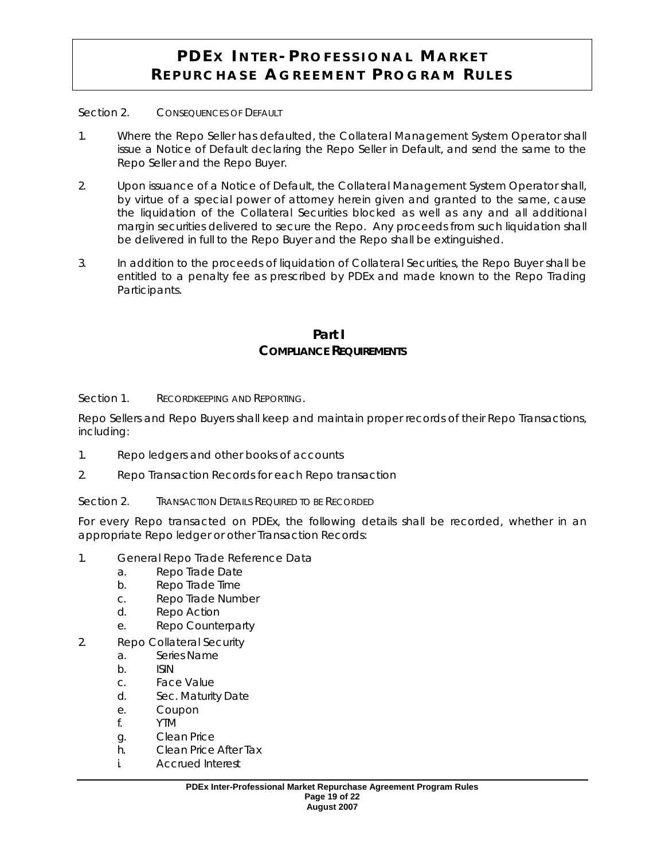Section 2. CONSEQUENCES OF DEFAULT

- 1. Where the Repo Seller has defaulted, the Collateral Management System Operator shall issue a Notice of Default declaring the Repo Seller in Default, and send the same to the Repo Seller and the Repo Buyer.
- 2. Upon issuance of a Notice of Default, the Collateral Management System Operator shall, by virtue of a special power of attorney herein given and granted to the same, cause the liquidation of the Collateral Securities blocked as well as any and all additional margin securities delivered to secure the Repo. Any proceeds from such liquidation shall be delivered in full to the Repo Buyer and the Repo shall be extinguished.
- 3. In addition to the proceeds of liquidation of Collateral Securities, the Repo Buyer shall be entitled to a penalty fee as prescribed by PDEx and made known to the Repo Trading Participants.

### **Part I COMPLIANCE REQUIREMENTS**

Section 1. RECORDKEEPING AND REPORTING.

Repo Sellers and Repo Buyers shall keep and maintain proper records of their Repo Transactions, including:

- 1. Repo ledgers and other books of accounts
- 2. Repo Transaction Records for each Repo transaction
- Section 2. **TRANSACTION DETAILS REQUIRED TO BE RECORDED**

For every Repo transacted on PDEx, the following details shall be recorded, whether in an appropriate Repo ledger or other Transaction Records:

- 1. General Repo Trade Reference Data
	- a. Repo Trade Date
	- b. Repo Trade Time
	- c. Repo Trade Number
	- d. Repo Action
	- e. Repo Counterparty
- 2. Repo Collateral Security
	- a. Series Name
	- b. ISIN
	- c. Face Value
	- d. Sec. Maturity Date
	- e. Coupon
	- f. YTM
	- g. Clean Price
	- h. Clean Price After Tax
	- i. Accrued Interest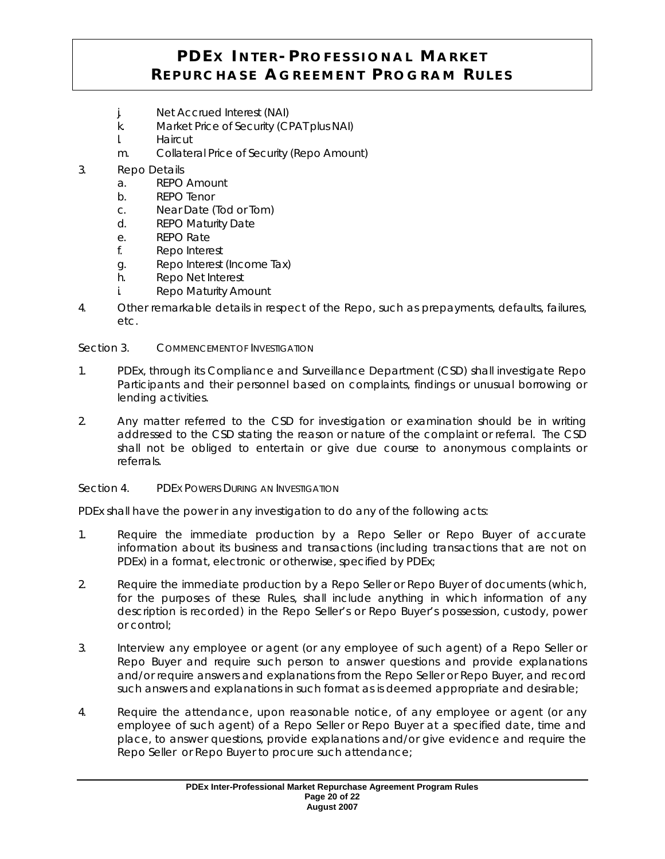- j. Net Accrued Interest (NAI)
- k. Market Price of Security (CPAT plus NAI)
- l. Haircut
- m. Collateral Price of Security (Repo Amount)
- 3. Repo Details
	- a. REPO Amount
	- b. REPO Tenor
	- c. Near Date (Tod or Tom)
	- d. REPO Maturity Date
	- e. REPO Rate
	- f. Repo Interest
	- g. Repo Interest (Income Tax)
	- h. Repo Net Interest
	- i. Repo Maturity Amount
- 4. Other remarkable details in respect of the Repo, such as prepayments, defaults, failures, etc.

Section 3. COMMENCEMENT OF INVESTIGATION

- 1. PDEx, through its Compliance and Surveillance Department (CSD) shall investigate Repo Participants and their personnel based on complaints, findings or unusual borrowing or lending activities.
- 2. Any matter referred to the CSD for investigation or examination should be in writing addressed to the CSD stating the reason or nature of the complaint or referral. The CSD shall not be obliged to entertain or give due course to anonymous complaints or referrals.
- Section 4. PDEX POWERS DURING AN INVESTIGATION

PDEx shall have the power in any investigation to do any of the following acts:

- 1. Require the immediate production by a Repo Seller or Repo Buyer of accurate information about its business and transactions (including transactions that are not on PDEx) in a format, electronic or otherwise, specified by PDEx;
- 2. Require the immediate production by a Repo Seller or Repo Buyer of documents (which, for the purposes of these Rules, shall include anything in which information of any description is recorded) in the Repo Seller's or Repo Buyer's possession, custody, power or control;
- 3. Interview any employee or agent (or any employee of such agent) of a Repo Seller or Repo Buyer and require such person to answer questions and provide explanations and/or require answers and explanations from the Repo Seller or Repo Buyer, and record such answers and explanations in such format as is deemed appropriate and desirable;
- 4. Require the attendance, upon reasonable notice, of any employee or agent (or any employee of such agent) of a Repo Seller or Repo Buyer at a specified date, time and place, to answer questions, provide explanations and/or give evidence and require the Repo Seller or Repo Buyer to procure such attendance;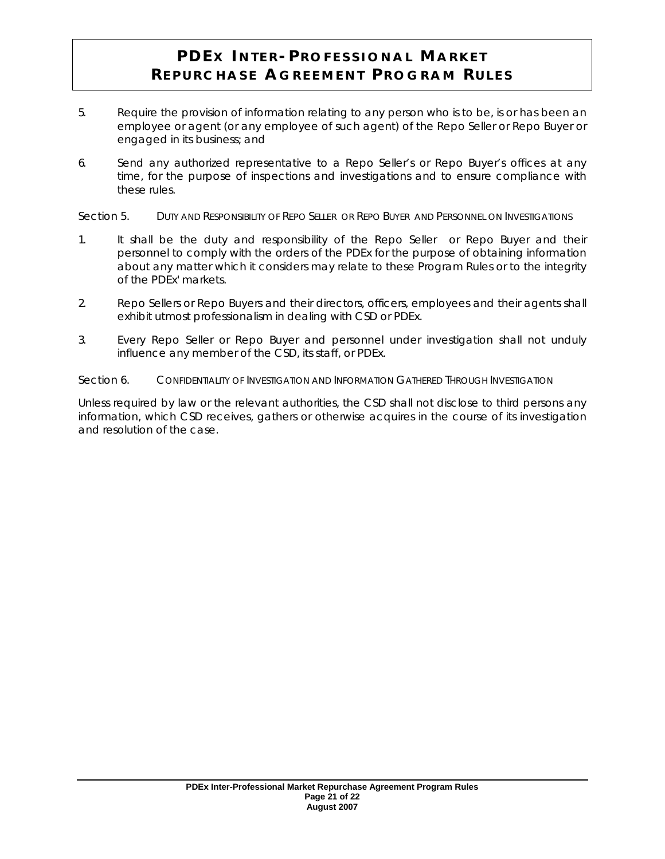- 5. Require the provision of information relating to any person who is to be, is or has been an employee or agent (or any employee of such agent) of the Repo Seller or Repo Buyer or engaged in its business; and
- 6. Send any authorized representative to a Repo Seller's or Repo Buyer's offices at any time, for the purpose of inspections and investigations and to ensure compliance with these rules.

Section 5. DUTY AND RESPONSIBILITY OF REPO SELLER OR REPO BUYER AND PERSONNEL ON INVESTIGATIONS

- 1. It shall be the duty and responsibility of the Repo Seller or Repo Buyer and their personnel to comply with the orders of the PDEx for the purpose of obtaining information about any matter which it considers may relate to these Program Rules or to the integrity of the PDEx' markets.
- 2. Repo Sellers or Repo Buyers and their directors, officers, employees and their agents shall exhibit utmost professionalism in dealing with CSD or PDEx.
- 3. Every Repo Seller or Repo Buyer and personnel under investigation shall not unduly influence any member of the CSD, its staff, or PDEx.

Section 6. CONFIDENTIALITY OF INVESTIGATION AND INFORMATION GATHERED THROUGH INVESTIGATION

Unless required by law or the relevant authorities, the CSD shall not disclose to third persons any information, which CSD receives, gathers or otherwise acquires in the course of its investigation and resolution of the case.